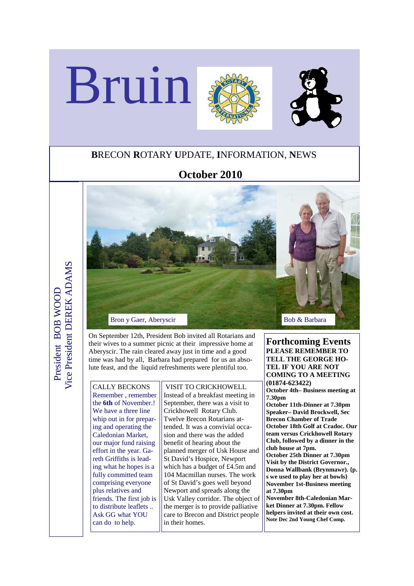

## **B**RECON **R**OTARY **U**PDATE, **I**NFORMATION, **N**EWS

## **October 2010**



On September 12th, President Bob invited all Rotarians and their wives to a summer picnic at their impressive home at Aberyscir. The rain cleared away just in time and a good time was had by all, Barbara had prepared for us an absolute feast, and the liquid refreshments were plentiful too.

CALLY BECKONS Remember , remember the **6th** of November.! We have a three line whip out in for preparing and operating the Caledonian Market, our major fund raising effort in the year. Gareth Griffiths is leading what he hopes is a fully committed team comprising everyone plus relatives and friends. The first job is to distribute leaflets .. Ask GG what YOU can do to help.

 VISIT TO CRICKHOWELL Instead of a breakfast meeting in September, there was a visit to Crickhowell Rotary Club. Twelve Brecon Rotarians attended. It was a convivial occasion and there was the added benefit of hearing about the planned merger of Usk House and St David's Hospice, Newport which has a budget of £4.5m and 104 Macmillan nurses. The work of St David's goes well beyond Newport and spreads along the Usk Valley corridor. The object of the merger is to provide palliative care to Brecon and District people in their homes.

**Forthcoming Events PLEASE REMEMBER TO TELL THE GEORGE HO-TEL IF YOU ARE NOT COMING TO A MEETING (01874-623422) October 4th– Business meeting at 7.30pm October 11th-Dinner at 7.30pm Speaker– David Brockwell, Sec Brecon Chamber of Trade October 18th Golf at Cradoc. Our team versus Crickhowell Rotary Club, followed by a dinner in the club house at 7pm. October 25th Dinner at 7.30pm Visit by the District Governor., Donna Wallbank (Brynmawr). {p. s we used to play her at bowls} November 1st-Business meeting at 7.30pm November 8th-Caledonian Market Dinner at 7.30pm. Fellow helpers invited at their own cost.** 

**Note Dec 2nd Young Chef Comp.**